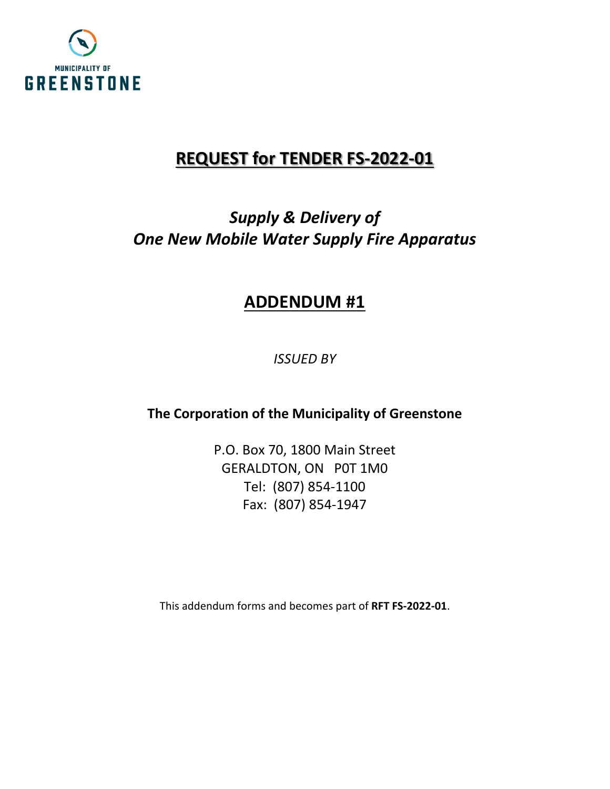

## **REQUEST for TENDER FS-2022-01**

# *Supply & Delivery of One New Mobile Water Supply Fire Apparatus*

## **ADDENDUM #1**

*ISSUED BY*

**The Corporation of the Municipality of Greenstone**

P.O. Box 70, 1800 Main Street GERALDTON, ON P0T 1M0 Tel: (807) 854-1100 Fax: (807) 854-1947

This addendum forms and becomes part of **RFT FS-2022-01**.